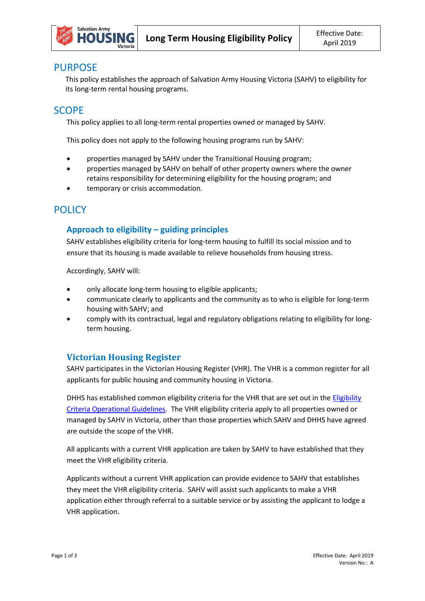

## PURPOSE

This policy establishes the approach of Salvation Army Housing Victoria (SAHV) to eligibility for its long-term rental housing programs.

# **SCOPE**

This policy applies to all long-term rental properties owned or managed by SAHV.

This policy does not apply to the following housing programs run by SAHV:

- properties managed by SAHV under the Transitional Housing program;
- properties managed by SAHV on behalf of other property owners where the owner retains responsibility for determining eligibility for the housing program; and
- temporary or crisis accommodation.

# **POLICY**

### **Approach to eligibility – guiding principles**

SAHV establishes eligibility criteria for long-term housing to fulfill its social mission and to ensure that its housing is made available to relieve households from housing stress.

Accordingly, SAHV will:

- only allocate long-term housing to eligible applicants;
- communicate clearly to applicants and the community as to who is eligible for long-term housing with SAHV; and
- comply with its contractual, legal and regulatory obligations relating to eligibility for longterm housing.

## **Victorian Housing Register**

SAHV participates in the Victorian Housing Register (VHR). The VHR is a common register for all applicants for public housing and community housing in Victoria.

DHHS has established common eligibility criteria for the VHR that are set out in the **Eligibility** [Criteria Operational Guidelines.](http://www.dhs.vic.gov.au/__data/assets/word_doc/0020/971201/VHR_Eligibility_Criteria_Operational_Guidelines.docx) The VHR eligibility criteria apply to all properties owned or managed by SAHV in Victoria, other than those properties which SAHV and DHHS have agreed are outside the scope of the VHR.

All applicants with a current VHR application are taken by SAHV to have established that they meet the VHR eligibility criteria.

Applicants without a current VHR application can provide evidence to SAHV that establishes they meet the VHR eligibility criteria. SAHV will assist such applicants to make a VHR application either through referral to a suitable service or by assisting the applicant to lodge a VHR application.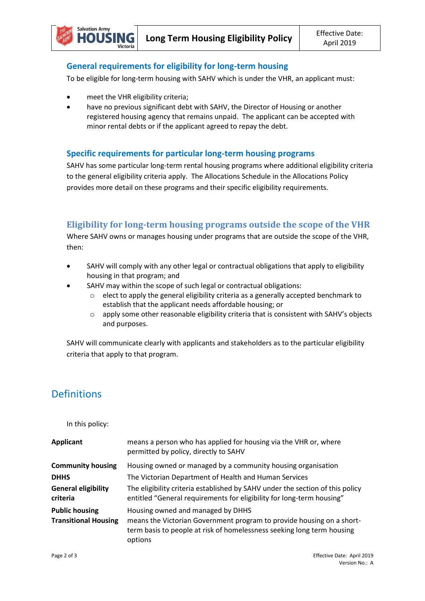#### **General requirements for eligibility for long-term housing**

To be eligible for long-term housing with SAHV which is under the VHR, an applicant must:

meet the VHR eligibility criteria;

ll G Victoria

**Salvation Army** 

 have no previous significant debt with SAHV, the Director of Housing or another registered housing agency that remains unpaid. The applicant can be accepted with minor rental debts or if the applicant agreed to repay the debt.

#### **Specific requirements for particular long-term housing programs**

SAHV has some particular long-term rental housing programs where additional eligibility criteria to the general eligibility criteria apply. The Allocations Schedule in the Allocations Policy provides more detail on these programs and their specific eligibility requirements.

#### **Eligibility for long-term housing programs outside the scope of the VHR**

Where SAHV owns or manages housing under programs that are outside the scope of the VHR, then:

- SAHV will comply with any other legal or contractual obligations that apply to eligibility housing in that program; and
	- SAHV may within the scope of such legal or contractual obligations:
		- o elect to apply the general eligibility criteria as a generally accepted benchmark to establish that the applicant needs affordable housing; or
		- o apply some other reasonable eligibility criteria that is consistent with SAHV's objects and purposes.

SAHV will communicate clearly with applicants and stakeholders as to the particular eligibility criteria that apply to that program.

# **Definitions**

In this policy:

| <b>Applicant</b>                                     | means a person who has applied for housing via the VHR or, where<br>permitted by policy, directly to SAHV                                                                                       |
|------------------------------------------------------|-------------------------------------------------------------------------------------------------------------------------------------------------------------------------------------------------|
| <b>Community housing</b>                             | Housing owned or managed by a community housing organisation                                                                                                                                    |
| <b>DHHS</b>                                          | The Victorian Department of Health and Human Services                                                                                                                                           |
| <b>General eligibility</b><br>criteria               | The eligibility criteria established by SAHV under the section of this policy<br>entitled "General requirements for eligibility for long-term housing"                                          |
| <b>Public housing</b><br><b>Transitional Housing</b> | Housing owned and managed by DHHS<br>means the Victorian Government program to provide housing on a short-<br>term basis to people at risk of homelessness seeking long term housing<br>options |